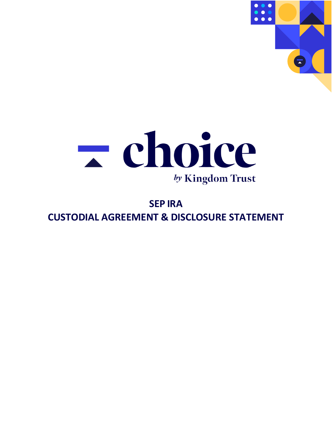



# **SEP IRA CUSTODIAL AGREEMENT & DISCLOSURE STATEMENT**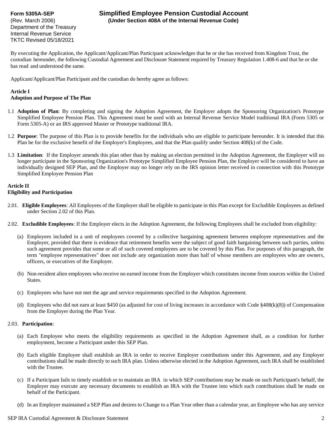Department of the Treasury Internal Revenue Service TKTC Revised 05/18/2021

## **Form 5305A-SEP Simplified Employee Pension Custodial Account** (Rev. March 2006) **(Under Section 408A of the Internal Revenue Code)**

By executing the Application, the Applicant/Applicant/Plan Participant acknowledges that he or she has received from Kingdom Trust, the custodian hereunder, the following Custodial Agreement and Disclosure Statement required by Treasury Regulation 1.408-6 and that he or she has read and understood the same.

Applicant/Applicant/Plan Participant and the custodian do hereby agree as follows:

#### **Article I**

#### **Adoption and Purpose of The Plan**

- 1.1 **Adoption of Plan**: By completing and signing the Adoption Agreement, the Employer adopts the Sponsoring Organization's Prototype Simplified Employee Pension Plan. This Agreement must be used with an Internal Revenue Service Model traditional IRA (Form 5305 or Form 5305-A) or an IRS approved Master or Prototype traditional IRA.
- 1.2 **Purpose**: The purpose of this Plan is to provide benefits for the individuals who are eligible to participate hereunder. It is intended that this Plan be for the exclusive benefit of the Employer's Employees, and that the Plan qualify under Section 408(k) of the Code.
- 1.3 **Limitation**: If the Employer amends this plan other than by making an election permitted in the Adoption Agreement, the Employer will no longer participate in the Sponsoring Organization's Prototype Simplified Employee Pension Plan, the Employer will be considered to have an individually designed SEP Plan, and the Employer may no longer rely on the IRS opinion letter received in connection with this Prototype Simplified Employee Pension Plan

# **Article II**

#### **Eligibility and Participation**

- 2.01. **Eligible Employees**: All Employees of the Employer shall be eligible to participate in this Plan except for Excludible Employees as defined under Section 2.02 of this Plan.
- 2.02. **Excludible Employees**: If the Employer elects in the Adoption Agreement, the following Employees shall be excluded from eligibility:
	- (a) Employees included in a unit of employees covered by a collective bargaining agreement between employee representatives and the Employer, provided that there is evidence that retirement benefits were the subject of good faith bargaining between such parties, unless such agreement provides that some or all of such covered employees are to be covered by this Plan. For purposes of this paragraph, the term "employee representatives" does not include any organization more than half of whose members are employees who are owners, officers, or executives of the Employer.
	- (b) Non-resident alien employees who receive no earned income from the Employer which constitutes income from sources within the United States.
	- (c) Employees who have not met the age and service requirements specified in the Adoption Agreement.
	- (d) Employees who did not earn at least \$450 (as adjusted for cost of living increases in accordance with Code §408(k)(8)) of Compensation from the Employer during the Plan Year.

#### 2.03. **Participation**:

- (a) Each Employee who meets the eligibility requirements as specified in the Adoption Agreement shall, as a condition for further employment, become a Participant under this SEP Plan.
- (b) Each eligible Employee shall establish an IRA in order to receive Employer contributions under this Agreement, and any Employer contributions shall be made directly to such IRA plan. Unless otherwise elected in the Adoption Agreement, such IRA shall be established with the Trustee.
- (c) If a Participant fails to timely establish or to maintain an IRA in which SEP contributions may be made on such Participant's behalf, the Employer may execute any necessary documents to establish an IRA with the Trustee into which such contributions shall be made on behalf of the Participant.
- (d) In an Employer maintained a SEP Plan and desires to Change to a Plan Year other than a calendar year, an Employee who has any service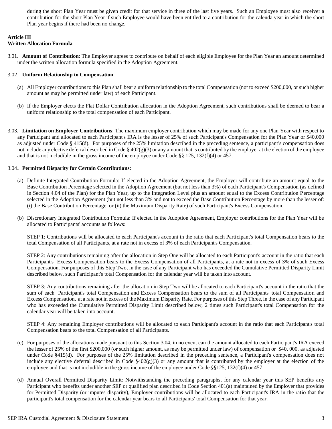during the short Plan Year must be given credit for that service in three of the last five years. Such an Employee must also receiver a contribution for the short Plan Year if such Employee would have been entitled to a contribution for the calenda year in which the short Plan year begins if there had been no change.

#### **Article III**

#### **Written Allocation Formula**

3.01. **Amount of Contribution**: The Employer agrees to contribute on behalf of each eligible Employee for the Plan Year an amount determined under the written allocation formula specified in the Adoption Agreement.

#### 3.02. **Uniform Relationship to Compensation**:

- (a) All Employer contributions to this Plan shall bear a uniform relationship to the total Compensation (not to exceed \$200,000, or such higher amount as may be permitted under law) of each Participant.
- (b) If the Employer elects the Flat Dollar Contribution allocation in the Adoption Agreement, such contributions shall be deemed to bear a uniform relationship to the total compensation of each Participant.
- 3.03. **Limitation on Employer Contributions**: The maximum employer contribution which may be made for any one Plan Year with respect to any Participant and allocated to each Participant's IRA is the lesser of 25% of such Participant's Compensation for the Plan Year or \$40,000 as adjusted under Code § 415(d). For purposes of the 25% limitation described in the preceding sentence, a participant's compensation does not include any elective deferral described in Code §  $402(g)(3)$  or any amount that is contributed by the employer at the election of the employee and that is not includible in the gross income of the employee under Code  $\S$ § 125, 132(f)(4) or 457.

#### 3.04**. Permitted Disparity for Certain Contributions**:

- (a) Definite Integrated Contribution Formula: If elected in the Adoption Agreement, the Employer will contribute an amount equal to the Base Contribution Percentage selected in the Adoption Agreement (but not less than 3%) of each Participant's Compensation (as defined in Section 4.04 of the Plan) for the Plan Year, up to the Integration Level plus an amount equal to the Excess Contribution Percentage selected in the Adoption Agreement (but not less than 3% and not to exceed the Base Contribution Percentage by more than the lesser of: (i) the Base Contribution Percentage, or (ii) the Maximum Disparity Rate) of such Participant's Excess Compensation.
- (b) Discretionary Integrated Contribution Formula: If elected in the Adoption Agreement, Employer contributions for the Plan Year will be allocated to Participants' accounts as follows:

STEP 1: Contributions will be allocated to each Participant's account in the ratio that each Participant's total Compensation bears to the total Compensation of all Participants, at a rate not in excess of 3% of each Participant's Compensation.

STEP 2: Any contributions remaining after the allocation in Step One will be allocated to each Participant's account in the ratio that each Participant's Excess Compensation bears to the Excess Compensation of all Participants, at a rate not in excess of 3% of such Excess Compensation. For purposes of this Step Two, in the case of any Participant who has exceeded the Cumulative Permitted Disparity Limit described below, such Participant's total Compensation for the calendar year will be taken into account.

STEP 3: Any contributions remaining after the allocation in Step Two will be allocated to each Participant's account in the ratio that the sum of each Participant's total Compensation and Excess Compensation bears to the sum of all Participants' total Compensation and Excess Compensation, at a rate not in excess of the Maximum Disparity Rate. For purposes of this Step Three, in the case of any Participant who has exceeded the Cumulative Permitted Disparity Limit described below, 2 times such Participant's total Compensation for the calendar year will be taken into account.

STEP 4: Any remaining Employer contributions will be allocated to each Participant's account in the ratio that each Participant's total Compensation bears to the total Compensation of all Participants.

- (c) For purposes of the allocations made pursuant to this Section 3.04, in no event can the amount allocated to each Participant's IRA exceed the lesser of 25% of the first \$200,000 (or such higher amount, as may be permitted under law) of compensation or \$40, 000, as adjusted under Code §415(d). For purposes of the 25% limitation described in the preceding sentence, a Participant's compensation does not include any elective deferral described in Code  $\frac{8402(g)}{3}$  or any amount that is contributed by the employer at the election of the employee and that is not includible in the gross income of the employee under Code §§125, 132(f)(4) or 457.
- (d) Annual Overall Permitted Disparity Limit: Notwithstanding the preceding paragraphs, for any calendar year this SEP benefits any Participant who benefits under another SEP or qualified plan described in Code Section 401(a) maintained by the Employer that provides for Permitted Disparity (or imputes disparity), Employer contributions will be allocated to each Participant's IRA in the ratio that the participant's total compensation for the calendar year bears to all Participants' total Compensation for that year.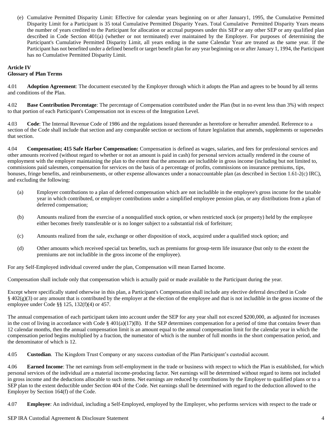(e) Cumulative Permitted Disparity Limit: Effective for calendar years beginning on or after January1, 1995, the Cumulative Permitted Disparity Limit for a Participant is 35 total Cumulative Permitted Disparity Years. Total Cumulative Permitted Disparity Years means the number of years credited to the Participant for allocation or accrual purposes under this SEP or any other SEP or any qualified plan described in Code Section 401(a) (whether or not terminated) ever maintained by the Employer. For purposes of determining the Participant's Cumulative Permitted Disparity Limit, all years ending in the same Calendar Year are treated as the same year. If the Participant has not benefited under a defined benefit or target benefit plan for any year beginning on or after January 1, 1994, the Participant has no Cumulative Permitted Disparity Limit.

# **Article IV**

### **Glossary of Plan Terms**

4.01 **Adoption Agreement**: The document executed by the Employer through which it adopts the Plan and agrees to be bound by all terms and conditions of the Plan.

4.02 **Base Contribution Percentage**: The percentage of Compensation contributed under the Plan (but in no event less than 3%) with respect to that portion of each Participant's Compensation not in excess of the Integration Level.

4.03 **Code**: The Internal Revenue Code of 1986 and the regulations issued thereunder as heretofore or hereafter amended. Reference to a section of the Code shall include that section and any comparable section or sections of future legislation that amends, supplements or supersedes that section.

4.04 **Compensation; 415 Safe Harbor Compensation:** Compensation is defined as wages, salaries, and fees for professional services and other amounts received (without regard to whether or not an amount is paid in cash) for personal services actually rendered in the course of employment with the employer maintaining the plan to the extent that the amounts are includible in gross income (including but not limited to, commissions paid salesmen, compensation for services on the basis of a percentage of profits, commissions on insurance premiums, tips, bonuses, fringe benefits, and reimbursements, or other expense allowances under a nonaccountable plan (as described in Section 1.61-2(c) IRC), and excluding the following:

- (a) Employer contributions to a plan of deferred compensation which are not includible in the employee's gross income for the taxable year in which contributed, or employer contributions under a simplified employee pension plan, or any distributions from a plan of deferred compensation;
- (b) Amounts realized from the exercise of a nonqualified stock option, or when restricted stock (or property) held by the employee either becomes freely transferable or is no longer subject to a substantial risk of forfeiture;
- (c) Amounts realized from the sale, exchange or other disposition of stock, acquired under a qualified stock option; and
- (d) Other amounts which received special tax benefits, such as premiums for group-term life insurance (but only to the extent the premiums are not includible in the gross income of the employee).

For any Self-Employed individual covered under the plan, Compensation will mean Earned Income.

Compensation shall include only that compensation which is actually paid or made available to the Participant during the year.

Except where specifically stated otherwise in this plan, a Participant's Compensation shall include any elective deferral described in Code  $\S$  402(g)(3) or any amount that is contributed by the employer at the election of the employee and that is not includible in the gross income of the employee under Code §§ 125, 132(f)(4) or 457.

The annual compensation of each participant taken into account under the SEP for any year shall not exceed \$200,000, as adjusted for increases in the cost of living in accordance with Code § 401(a)(17)(B). If the SEP determines compensation for a period of time that contains fewer than 12 calendar months, then the annual compensation limit is an amount equal to the annual compensation limit for the calendar year in which the compensation period begins multiplied by a fraction, the numerator of which is the number of full months in the short compensation period, and the denominator of which is 12.

4.05 **Custodian**. The Kingdom Trust Company or any success custodian of the Plan Participant's custodial account.

4.06 **Earned Income**: The net earnings from self-employment in the trade or business with respect to which the Plan is established, for which personal services of the individual are a material income-producing factor. Net earnings will be determined without regard to items not included in gross income and the deductions allocable to such items. Net earnings are reduced by contributions by the Employer to qualified plans or to a SEP plan to the extent deductible under Section 404 of the Code. Net earnings shall be determined with regard to the deduction allowed to the Employer by Section 164(f) of the Code.

4.07 **Employee**: An individual, including a Self-Employed, employed by the Employer, who performs services with respect to the trade or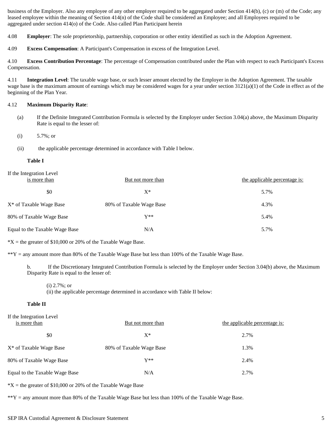business of the Employer. Also any employee of any other employer required to be aggregated under Section 414(b), (c) or (m) of the Code; any leased employee within the meaning of Section 414(n) of the Code shall be considered an Employee; and all Employees required to be aggregated under section 414(o) of the Code. Also called Plan Participant herein

4.08 **Employer**: The sole proprietorship, partnership, corporation or other entity identified as such in the Adoption Agreement.

4.09 **Excess Compensation**: A Participant's Compensation in excess of the Integration Level.

4.10 **Excess Contribution Percentage**: The percentage of Compensation contributed under the Plan with respect to each Participant's Excess Compensation.

4.11 **Integration Level**: The taxable wage base, or such lesser amount elected by the Employer in the Adoption Agreement. The taxable wage base is the maximum amount of earnings which may be considered wages for a year under section  $3121(a)(1)$  of the Code in effect as of the beginning of the Plan Year.

#### 4.12 **Maximum Disparity Rate**:

- (a) If the Definite Integrated Contribution Formula is selected by the Employer under Section 3.04(a) above, the Maximum Disparity Rate is equal to the lesser of:
- (i) 5.7%; or
- (ii) the applicable percentage determined in accordance with Table I below.

#### **Table I**

| If the Integration Level<br>is more than | But not more than        | the applicable percentage is: |
|------------------------------------------|--------------------------|-------------------------------|
| \$0                                      | $X^*$                    | 5.7%                          |
| X <sup>*</sup> of Taxable Wage Base      | 80% of Taxable Wage Base | 4.3%                          |
| 80% of Taxable Wage Base                 | $V^**$                   | 5.4%                          |
| Equal to the Taxable Wage Base           | N/A                      | 5.7%                          |

 $*X$  = the greater of \$10,000 or 20% of the Taxable Wage Base.

 $*Y =$  any amount more than 80% of the Taxable Wage Base but less than 100% of the Taxable Wage Base.

b. If the Discretionary Integrated Contribution Formula is selected by the Employer under Section 3.04(b) above, the Maximum Disparity Rate is equal to the lesser of:

(ii) the applicable percentage determined in accordance with Table II below:

#### **Table II**

| If the Integration Level<br>is more than | But not more than        | the applicable percentage is: |
|------------------------------------------|--------------------------|-------------------------------|
| \$0                                      | $X^*$                    | 2.7%                          |
| X <sup>*</sup> of Taxable Wage Base      | 80% of Taxable Wage Base | 1.3%                          |
| 80% of Taxable Wage Base                 | $V^**$                   | 2.4%                          |
| Equal to the Taxable Wage Base           | N/A                      | 2.7%                          |

 $*X$  = the greater of \$10,000 or 20% of the Taxable Wage Base

 $*Y =$  any amount more than 80% of the Taxable Wage Base but less than 100% of the Taxable Wage Base.

<sup>(</sup>i) 2.7%; or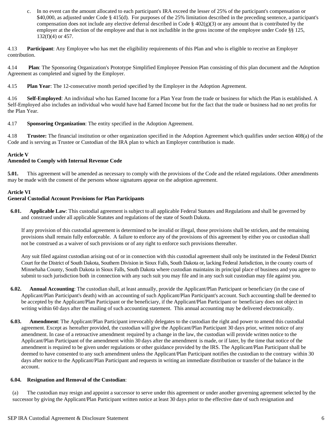c. In no event can the amount allocated to each participant's IRA exceed the lesser of 25% of the participant's compensation or \$40,000, as adjusted under Code § 415(d). For purposes of the 25% limitation described in the preceding sentence, a participant's compensation does not include any elective deferral described in Code §  $402(g)(3)$  or any amount that is contributed by the employer at the election of the employee and that is not includible in the gross income of the employee under Code §§ 125, 132(f)(4) or 457.

4.13 **Participant**: Any Employee who has met the eligibility requirements of this Plan and who is eligible to receive an Employer contribution.

4.14 **Plan**: The Sponsoring Organization's Prototype Simplified Employee Pension Plan consisting of this plan document and the Adoption Agreement as completed and signed by the Employer.

4.15 **Plan Year**: The 12-consecutive month period specified by the Employer in the Adoption Agreement.

4.16 **Self-Employed**: An individual who has Earned Income for a Plan Year from the trade or business for which the Plan is established. A Self-Employed also includes an individual who would have had Earned Income but for the fact that the trade or business had no net profits for the Plan Year.

4.17 **Sponsoring Organization**: The entity specified in the Adoption Agreement.

4.18 **Trustee:** The financial institution or other organization specified in the Adoption Agreement which qualifies under section 408(a) of the Code and is serving as Trustee or Custodian of the IRA plan to which an Employer contribution is made.

#### **Article V**

#### **Amended to Comply with Internal Revenue Code**

**5.01.** This agreement will be amended as necessary to comply with the provisions of the Code and the related regulations. Other amendments may be made with the consent of the persons whose signatures appear on the adoption agreement.

#### **Article VI**

#### **General Custodial Account Provisions for Plan Participants**

**6.01. Applicable Law**: This custodial agreement is subject to all applicable Federal Statutes and Regulations and shall be governed by and construed under all applicable Statutes and regulations of the state of South Dakota.

If any provision of this custodial agreement is determined to be invalid or illegal, those provisions shall be stricken, and the remaining provisions shall remain fully enforceable. A failure to enforce any of the provisions of this agreement by either you or custodian shall not be construed as a waiver of such provisions or of any right to enforce such provisions thereafter.

Any suit filed against custodian arising out of or in connection with this custodial agreement shall only be instituted in the Federal District Court for the District of South Dakota, Southern Division in Sioux Falls, South Dakota or, lacking Federal Jurisdiction, in the county courts of Minnehaha County, South Dakota in Sioux Falls, South Dakota where custodian maintains its principal place of business and you agree to submit to such jurisdiction both in connection with any such suit you may file and in any such suit custodian may file against you.

- **6.02. Annual Accounting**: The custodian shall, at least annually, provide the Applicant/Plan Participant or beneficiary (in the case of Applicant/Plan Participant's death) with an accounting of such Applicant/Plan Participant's account. Such accounting shall be deemed to be accepted by the Applicant/Plan Participant or the beneficiary, if the Applicant/Plan Participant or beneficiary does not object in writing within 60 days after the mailing of such accounting statement. This annual accounting may be delivered electronically.
- **6.03. Amendment**: The Applicant/Plan Participant irrevocably delegates to the custodian the right and power to amend this custodial agreement. Except as hereafter provided, the custodian will give the Applicant/Plan Participant 30 days prior, written notice of any amendment. In case of a retroactive amendment required by a change in the law, the custodian will provide written notice to the Applicant/Plan Participant of the amendment within 30 days after the amendment is made, or if later, by the time that notice of the amendment is required to be given under regulations or other guidance provided by the IRS. The Applicant/Plan Participant shall be deemed to have consented to any such amendment unless the Applicant/Plan Participant notifies the custodian to the contrary within 30 days after notice to the Applicant/Plan Participant and requests in writing an immediate distribution or transfer of the balance in the account.

#### **6.04. Resignation and Removal of the Custodian**:

(a) The custodian may resign and appoint a successor to serve under this agreement or under another governing agreement selected by the successor by giving the Applicant/Plan Participant written notice at least 30 days prior to the effective date of such resignation and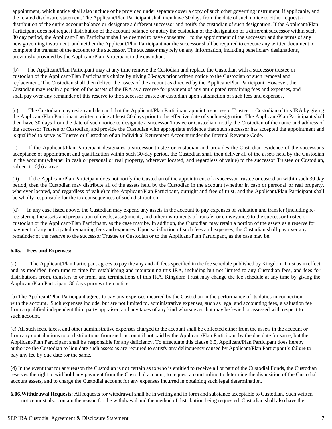appointment, which notice shall also include or be provided under separate cover a copy of such other governing instrument, if applicable, and the related disclosure statement. The Applicant/Plan Participant shall then have 30 days from the date of such notice to either request a distribution of the entire account balance or designate a different successor and notify the custodian of such designation. If the Applicant/Plan Participant does not request distribution of the account balance or notify the custodian of the designation of a different successor within such 30 day period, the Applicant/Plan Participant shall be deemed to have consented to the appointment of the successor and the terms of any new governing instrument, and neither the Applicant/Plan Participant nor the successor shall be required to execute any written document to complete the transfer of the account to the successor. The successor may rely on any information, including beneficiary designations, previously provided by the Applicant/Plan Participant to the custodian.

(b) The Applicant/Plan Participant may at any time remove the Custodian and replace the Custodian with a successor trustee or custodian of the Applicant/Plan Participant's choice by giving 30-days prior written notice to the Custodian of such removal and replacement. The Custodian shall then deliver the assets of the account as directed by the Applicant/Plan Participant. However, the Custodian may retain a portion of the assets of the IRA as a reserve for payment of any anticipated remaining fees and expenses, and shall pay over any remainder of this reserve to the successor trustee or custodian upon satisfaction of such fees and expenses.

(c) The Custodian may resign and demand that the Applicant/Plan Participant appoint a successor Trustee or Custodian of this IRA by giving the Applicant/Plan Participant written notice at least 30 days prior to the effective date of such resignation. The Applicant/Plan Participant shall then have 30 days from the date of such notice to designate a successor Trustee or Custodian, notify the Custodian of the name and address of the successor Trustee or Custodian, and provide the Custodian with appropriate evidence that such successor has accepted the appointment and is qualified to serve as Trustee or Custodian of an Individual Retirement Account under the Internal Revenue Code.

(i) If the Applicant/Plan Participant designates a successor trustee or custodian and provides the Custodian evidence of the successor's acceptance of appointment and qualification within such 30-day period, the Custodian shall then deliver all of the assets held by the Custodian in the account (whether in cash or personal or real property, wherever located, and regardless of value) to the successor Trustee or Custodian, subject to 6(b) above.

(ii) If the Applicant/Plan Participant does not notify the Custodian of the appointment of a successor trustee or custodian within such 30 day period, then the Custodian may distribute all of the assets held by the Custodian in the account (whether in cash or personal or real property, wherever located, and regardless of value) to the Applicant/Plan Participant, outright and free of trust, and the Applicant/Plan Participant shall be wholly responsible for the tax consequences of such distribution.

(d) In any case listed above, the Custodian may expend any assets in the account to pay expenses of valuation and transfer (including reregistering the assets and preparation of deeds, assignments, and other instruments of transfer or conveyance) to the successor trustee or custodian or the Applicant/Plan Participant, as the case may be. In addition, the Custodian may retain a portion of the assets as a reserve for payment of any anticipated remaining fees and expenses. Upon satisfaction of such fees and expenses, the Custodian shall pay over any remainder of the reserve to the successor Trustee or Custodian or to the Applicant/Plan Participant, as the case may be.

#### **6.05. Fees and Expenses:**

(a) The Applicant/Plan Participant agrees to pay the any and all fees specified in the fee schedule published by Kingdom Trust as in effect and as modified from time to time for establishing and maintaining this IRA, including but not limited to any Custodian fees, and fees for distributions from, transfers to or from, and terminations of this IRA. Kingdom Trust may change the fee schedule at any time by giving the Applicant/Plan Participant 30 days prior written notice.

(b) The Applicant/Plan Participant agrees to pay any expenses incurred by the Custodian in the performance of its duties in connection with the account. Such expenses include, but are not limited to, administrative expenses, such as legal and accounting fees, a valuation fee from a qualified independent third party appraiser, and any taxes of any kind whatsoever that may be levied or assessed with respect to such account.

(c) All such fees, taxes, and other administrative expenses charged to the account shall be collected either from the assets in the account or from any contributions to or distributions from such account if not paid by the Applicant/Plan Participant by the due date for same, but the Applicant/Plan Participant shall be responsible for any deficiency. To effectuate this clause 6.5, Applicant/Plan Participant does hereby authorize the Custodian to liquidate such assets as are required to satisfy any delinquency caused by Applicant/Plan Participant's failure to pay any fee by due date for the same.

(d) In the event that for any reason the Custodian is not certain as to who is entitled to receive all or part of the Custodial Funds, the Custodian reserves the right to withhold any payment from the Custodial account, to request a court ruling to determine the disposition of the Custodial account assets, and to charge the Custodial account for any expenses incurred in obtaining such legal determination.

**6.06.Withdrawal Requests**: All requests for withdrawal shall be in writing and in form and substance acceptable to Custodian. Such written notice must also contain the reason for the withdrawal and the method of distribution being requested. Custodian shall also have the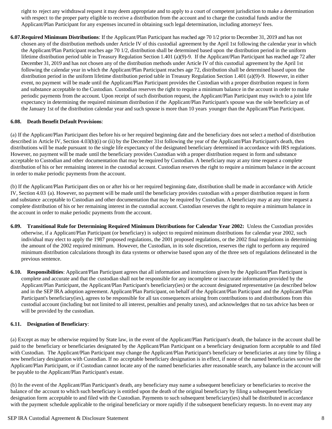right to reject any withdrawal request it may deem appropriate and to apply to a court of competent jurisdiction to make a determination with respect to the proper party eligible to receive a distribution from the account and to charge the custodial funds and/or the Applicant/Plan Participant for any expenses incurred in obtaining such legal determination, including attorneys' fees.

**6.07.Required Minimum Distributions**: If the Applicant/Plan Participant has reached age 70 1/2 prior to December 31, 2019 and has not chosen any of the distribution methods under Article IV of this custodial agreement by the April 1st following the calendar year in which the Applicant/Plan Participant reaches age 70 1/2, distribution shall be determined based upon the distribution period in the uniform lifetime distribution period table in Treasury Regulation Section 1.401 (a)(9)-9. If the Applicant/Plan Participant has reached age 72 after December 31, 2019 and has not chosen any of the distribution methods under Article IV of this custodial agreement by the April 1st following the calendar year in which the Applicant/Plan Participant reaches age 72, distribution shall be determined based upon the distribution period in the uniform lifetime distribution period table in Treasury Regulation Section 1.401 (a)(9)-9. However, in either event, no payment will be made until the Applicant/Plan Participant provides the Custodian with a proper distribution request in form and substance acceptable to the Custodian. Custodian reserves the right to require a minimum balance in the account in order to make periodic payments from the account. Upon receipt of such distribution request, the Applicant/Plan Participant may switch to a joint life expectancy in determining the required minimum distribution if the Applicant/Plan Participant's spouse was the sole beneficiary as of the January 1st of the distribution calendar year and such spouse is more than 10 years younger than the Applicant/Plan Participant.

#### **6.08. Death Benefit Default Provisions**:

(a) If the Applicant/Plan Participant dies before his or her required beginning date and the beneficiary does not select a method of distribution described in Article IV, Section 4.03(b)(i) or (ii) by the December 31st following the year of the Applicant/Plan Participant's death, then distributions will be made pursuant to the single life expectancy of the designated beneficiary determined in accordance with IRS regulations. However, no payment will be made until the beneficiary provides Custodian with a proper distribution request in form and substance acceptable to Custodian and other documentation that may be required by Custodian. A beneficiary may at any time request a complete distribution of his or her remaining interest in the custodial account. Custodian reserves the right to require a minimum balance in the account in order to make periodic payments from the account.

(b) If the Applicant/Plan Participant dies on or after his or her required beginning date, distribution shall be made in accordance with Article IV, Section 4.03 (a). However, no payment will be made until the beneficiary provides custodian with a proper distribution request in form and substance acceptable to Custodian and other documentation that may be required by Custodian. A beneficiary may at any time request a complete distribution of his or her remaining interest in the custodial account. Custodian reserves the right to require a minimum balance in the account in order to make periodic payments from the account.

- **6.09. Transitional Rule for Determining Required Minimum Distributions for Calendar Year 2002:** Unless the Custodian provides otherwise, if a Applicant/Plan Participant (or beneficiary) is subject to required minimum distributions for calendar year 2002, such individual may elect to apply the 1987 proposed regulations, the 2001 proposed regulations, or the 2002 final regulations in determining the amount of the 2002 required minimum. However, the Custodian, in its sole discretion, reserves the right to perform any required minimum distribution calculations through its data systems or otherwise based upon any of the three sets of regulations delineated in the previous sentence.
- **6.10. Responsibilities**: Applicant/Plan Participant agrees that all information and instructions given by the Applicant/Plan Participantis complete and accurate and that the custodian shall not be responsible for any incomplete or inaccurate information provided by the Applicant/Plan Participant, the Applicant/Plan Participant's beneficiary(ies) or the account designated representative (as described below and in the SEP IRA adoption agreement. Applicant/Plan Participant, on behalf of the Applicant/Plan Participant and the Applicant/Plan Participant's beneficiary(ies), agrees to be responsible for all tax consequences arising from contributions to and distributions from this custodial account (including but not limited to all interest, penalties and penalty taxes), and acknowledges that no tax advice has been or will be provided by the custodian.

#### **6.11. Designation of Beneficiary:**

(a) Except as may be otherwise required by State law, in the event of the Applicant/Plan Participant's death, the balance in the account shall be paid to the beneficiary or beneficiaries designated by the Applicant/Plan Participant on a beneficiary designation form acceptable to and filed with Custodian. The Applicant/Plan Participant may change the Applicant/Plan Participant's beneficiary or beneficiaries at any time by filing a new beneficiary designation with Custodian. If no acceptable beneficiary designation is in effect, if none of the named beneficiaries survive the Applicant/Plan Participant, or if Custodian cannot locate any of the named beneficiaries after reasonable search, any balance in the account will be payable to the Applicant/Plan Participant's estate.

(b) In the event of the Applicant/Plan Participant's death, any beneficiary may name a subsequent beneficiary or beneficiaries to receive the balance of the account to which such beneficiary is entitled upon the death of the original beneficiary by filing a subsequent beneficiary designation form acceptable to and filed with the Custodian. Payments to such subsequent beneficiary(ies) shall be distributed in accordance with the payment schedule applicable to the original beneficiary or more rapidly if the subsequent beneficiary requests. In no event may any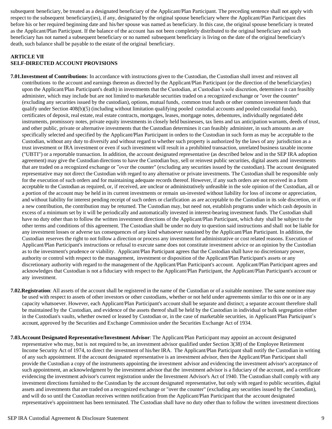subsequent beneficiary, be treated as a designated beneficiary of the Applicant/Plan Participant. The preceding sentence shall not apply with respect to the subsequent beneficiary(ies), if any, designated by the original spouse beneficiary where the Applicant/Plan Participant dies before his or her required beginning date and his/her spouse was named as beneficiary. In this case, the original spouse beneficiary is treated as the Applicant/Plan Participant. If the balance of the account has not been completely distributed to the original beneficiary and such beneficiary has not named a subsequent beneficiary or no named subsequent beneficiary is living on the date of the original beneficiary's death, such balance shall be payable to the estate of the original beneficiary.

#### **ARTICLE VII SELF-DIRECTED ACCOUNT PROVISIONS**

**7.01.Investment of Contributions**: In accordance with instructions given to the Custodian, the Custodian shall invest and reinvest all contributions to the account and earnings thereon as directed by the Applicant/Plan Participant (or the direction of the beneficiary(ies) upon the Applicant/Plan Participant's death) in investments that the Custodian, at Custodian's sole discretion, determines it can feasibly administer, which may include but are not limited to marketable securities traded on a recognized exchange or "over the counter" (excluding any securities issued by the custodian), options, mutual funds, common trust funds or other common investment funds that qualify under Section 408(b)(5) (including without limitation qualifying pooled custodial accounts and pooled custodial funds), certificates of deposit, real estate, real estate contracts, mortgages, leases, mortgage notes, debentures, individually negotiated debt instruments, promissory notes, private equity investments in closely held businesses, tax liens and tax anticipation warrants, deeds of trust, and other public, private or alternative investments that the Custodian determines it can feasibly administer, in such amounts as are specifically selected and specified by the Applicant/Plan Participant in orders to the Custodian in such form as may be acceptable to the Custodian, without any duty to diversify and without regard to whether such property is authorized by the laws of any jurisdiction as a trust investment or IRA investment or even if such investment will result in a prohibited transaction, unrelated business taxable income ("UBTI") or a reportable transaction. In addition, the account designated representative (as described below and in the SEP IRA adoption agreement) may give the Custodian directions to have the Custodian buy, sell or reinvest public securities, digital assets and investments that are traded on a recognized exchange or "over the counter" (excluding any securities issued by the custodian). The account designated representative may not direct the Custodian with regard to any alternative or private investments. The Custodian shall be responsible only for the execution of such orders and for maintaining adequate records thereof. However, if any such orders are not received in a form acceptable to the Custodian as required, or, if received, are unclear or administratively unfeasible in the sole opinion of the Custodian, all or a portion of the account may be held in its current investments or remain un-invested without liability for loss of income or appreciation, and without liability for interest pending receipt of such orders or clarification as are acceptable to the Custodian in its sole discretion, or if a new contribution, the contribution may be returned. The Custodian may, but need not, establish programs under which cash deposits in excess of a minimum set by it will be periodically and automatically invested in interest-bearing investment funds. The Custodian shall have no duty other than to follow the written investment directions of the Applicant/Plan Participant, which duty shall be subject to the other terms and conditions of this agreement. The Custodian shall be under no duty to question said instructions and shall not be liable for any investment losses or adverse tax consequences of any kind whatsoever sustained by the Applicant/Plan Participant. In addition, the Custodian reserves the right to not follow a direction or process any investment for administrative or cost related reasons. Execution of Applicant/Plan Participant's instructions or refusal to execute same does not constitute investment advice or an opinion by the Custodian as to the investment's prudence or viability. Applicant/Plan Participant agrees that the Custodian shall have no discretionary power, authority or control with respect to the management, investment or disposition of the Applicant/Plan Participant's assets or any discretionary authority with regard to the management of the Applicant/Plan Participant's account. Applicant/Plan Participant agrees and acknowledges that Custodian is not a fiduciary with respect to the Applicant/Plan Participant, the Applicant/Plan Participant's account or any investment.

- **7.02.Registration**: All assets of the account shall be registered in the name of the Custodian or of a suitable nominee. The same nominee may be used with respect to assets of other investors or other custodians, whether or not held under agreements similar to this one or in any capacity whatsoever. However, each Applicant/Plan Participant's account shall be separate and distinct; a separate account therefore shall be maintained by the Custodian, and evidence of the assets thereof shall be held by the Custodian in individual or bulk segregation either in the Custodian's vaults, whether owned or leased by Custodian or, in the case of marketable securities, in Applicant/Plan Participant's account, approved by the Securities and Exchange Commission under the Securities Exchange Act of 1934.
- **7.03.Account Designated Representative/Investment Advisor**: The Applicant/Plan Participant may appoint an account designated representative who may, butis not required to be, an investment advisor qualified under Section 3(38) of the Employee Retirement Income Security Act of 1974, to direct the investment of his/her IRA. The Applicant/Plan Participant shall notify the Custodian in writing of any such appointment. If the account designated representative is an investment advisor, then the Applicant/Plan Participant shall provide the Custodian a copy of the instruments appointing the investment advisor and evidencing the investment advisor's acceptance of such appointment, an acknowledgment by the investment advisor that the investment advisor is a fiduciary of the account, and a certificate evidencing the investment advisor's current registration under the Investment Advisor's Act of 1940. The Custodian shall comply with any investment directions furnished to the Custodian by the account designated representative, but only with regard to public securities, digital assets and investments that are traded on a recognized exchange or "over the counter" (excluding any securities issued by the Custodian), and will do so until the Custodian receives written notification from the Applicant/Plan Participant that the account designated representative's appointment has been terminated. The Custodian shall have no duty other than to follow the written investment directions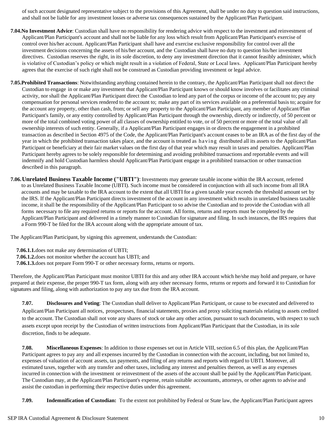of such account designated representative subject to the provisions of this Agreement, shall be under no duty to question said instructions, and shall not be liable for any investment losses or adverse tax consequences sustained by the Applicant/Plan Participant.

- **7.04.No Investment Advice**: Custodian shall have no responsibility for rendering advice with respect to the investment and reinvestment of Applicant/Plan Participant's account and shall not be liable for any loss which result from Applicant/Plan Participant's exercise of control over his/her account. Applicant/Plan Participant shall have and exercise exclusive responsibility for control over all the investment decisions concerning the assets of his/her account, and the Custodian shall have no duty to question his/her investment directives. Custodian reserves the right, in its sole discretion, to deny any investment direction that it cannot feasibly administer, which is violative of Custodian's policy or which might result in a violation of Federal, State or Local laws. Applicant/Plan Participant hereby agrees that the exercise of such right shall not be construed as Custodian providing investment or legal advice.
- **7.05.Prohibited Transactions**: Notwithstanding anything contained herein to the contrary, the Applicant/Plan Participant shall not direct the Custodian to engage in or make any investment that Applicant/Plan Participant knows or should know involves or facilitates any criminal activity, nor shall the Applicant/Plan Participant direct the Custodian to lend any part of the corpus or income of the account to; pay any compensation for personal services rendered to the account to; make any part of its services available on a preferential basis to; acquire for the account any property, other than cash, from; or sell any property to the Applicant/Plan Participant, any member of Applicant/Plan Participant's family, or any entity controlled by Applicant/Plan Participant through the ownership, directly or indirectly, of 50 percent or more of the total combined voting power of all classes of ownership entitled to vote, or of 50 percent or more of the total value of all ownership interests of such entity. Generally, if a Applicant/Plan Participant engages in or directs the engagement in a prohibited transaction as described in Section 4975 of the Code, the Applicant/Plan Participant's account ceases to be an IRA as of the first day of the year in which the prohibited transaction takes place, and the account is treated as ha ving distributed all its assets to the Applicant/Plan Participant or beneficiary at their fair market values on the first day of that year which may result in taxes and penalties. Applicant/Plan Participant hereby agrees to be solely responsible for determining and avoiding prohibited transactions and reportable events and will indemnify and hold Custodian harmless should Applicant/Plan Participant engage in a prohibited transaction or other transaction described in this paragraph.
- **7.06.Unrelated Business Taxable Income ("UBTI")**: Investments may generate taxable income within the IRA account, referred to as Unrelated Business Taxable Income (UBTI). Such income must be considered in conjunction with all such income from all IRA accounts and may be taxable to the IRA account to the extent that all UBTI for a given taxable year exceeds the threshold amount set by the IRS. If the Applicant/Plan Participant directs investment of the account in any investment which results in unrelated business taxable income, it shall be the responsibility of the Applicant/Plan Participant to so advise the Custodian and to provide the Custodian with all forms necessary to file any required returns or reports for the account. All forms, returns and reports must be completed by the Applicant/Plan Participant and delivered in a timely manner to Custodian for signature and filing. In such instances, the IRS requires that a Form 990-T be filed for the IRA account along with the appropriate amount of tax.

The Applicant/Plan Participant, by signing this agreement, understands the Custodian:

**7.06.1.1.**does not make any determination of UBTI;

**7.06.1.2.**does not monitor whether the account has UBTI; and

**7.06.1.3.**does not prepare Form 990-T or other necessary forms, returns or reports.

Therefore, the Applicant/Plan Participant must monitor UBTI for this and any other IRA account which he/she may hold and prepare, or have prepared at their expense, the proper 990-T tax form, along with any other necessary forms, returns or reports and forward it to Custodian for signatures and filing, along with authorization to pay any tax due from the IRA account.

**7.07. Disclosures and Voting**: The Custodian shall deliver to Applicant/Plan Participant, or cause to be executed and delivered to Applicant/Plan Participant all notices, prospectuses, financial statements, proxies and proxy soliciting materials relating to assets credited to the account. The Custodian shall not vote any shares of stock or take any other action, pursuant to such documents, with respect to such assets except upon receipt by the Custodian of written instructions from Applicant/Plan Participant that the Custodian, in its sole discretion, finds to be adequate.

**7.08. Miscellaneous Expenses**: In addition to those expenses set out in Article VIII, section 6.5 of this plan, the Applicant/Plan Participant agrees to pay any and all expenses incurred by the Custodian in connection with the account, including, but not limited to, expenses of valuation of account assets, tax payments, and filing of any returns and reports with regard to UBTI. Moreover, all estimated taxes, together with any transfer and other taxes, including any interest and penalties thereon, as well as any expenses incurred in connection with the investment or reinvestment of the assets of the account shall be paid by the Applicant/Plan Participant. The Custodian may, at the Applicant/Plan Participant's expense, retain suitable accountants, attorneys, or other agents to advise and assist the custodian in performing their respective duties under this agreement.

**7.09. Indemnification of Custodian:** To the extent not prohibited by Federal or State law, the Applicant/Plan Participant agrees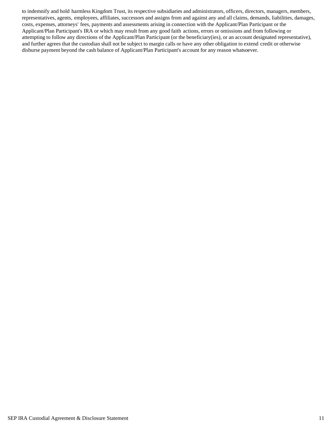to indemnify and hold harmless Kingdom Trust, its respective subsidiaries and administrators, officers, directors, managers, members, representatives, agents, employees, affiliates, successors and assigns from and against any and all claims, demands, liabilities, damages, costs, expenses, attorneys' fees, payments and assessments arising in connection with the Applicant/Plan Participant or the Applicant/Plan Participant's IRA or which may result from any good faith actions, errors or omissions and from following or attempting to follow any directions of the Applicant/Plan Participant (or the beneficiary(ies), or an account designated representative), and further agrees that the custodian shall not be subject to margin calls or have any other obligation to extend credit or otherwise disburse payment beyond the cash balance of Applicant/Plan Participant's account for any reason whatsoever.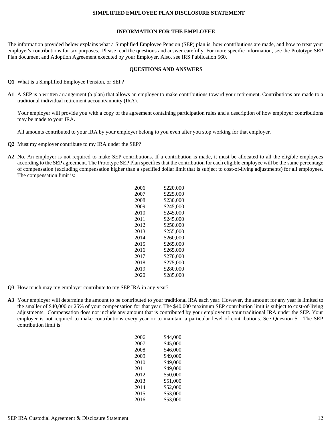#### **SIMPLIFIED EMPLOYEE PLAN DISCLOSURE STATEMENT**

#### **INFORMATION FOR THE EMPLOYEE**

The information provided below explains what a Simplified Employee Pension (SEP) plan is, how contributions are made, and how to treat your employer's contributions for tax purposes. Please read the questions and answer carefully. For more specific information, see the Prototype SEP Plan document and Adoption Agreement executed by your Employer. Also, see IRS Publication 560.

#### **QUESTIONS AND ANSWERS**

- **Q1** What is a Simplified Employee Pension, or SEP?
- **A1** A SEP is a written arrangement (a plan) that allows an employer to make contributions toward your retirement. Contributions are made to a traditional individual retirement account/annuity (IRA).

Your employer will provide you with a copy of the agreement containing participation rules and a description of how employer contributions may be made to your IRA.

All amounts contributed to your IRA by your employer belong to you even after you stop working for that employer.

- **Q2** Must my employer contribute to my IRA under the SEP?
- **A2** No. An employer is not required to make SEP contributions. If a contribution is made, it must be allocated to all the eligible employees according to the SEP agreement. The Prototype SEP Plan specifies that the contribution for each eligible employee will be the same percentage of compensation (excluding compensation higher than a specified dollar limit that is subject to cost-of-living adjustments) for all employees. The compensation limit is:

| 2006 | \$220.000 |
|------|-----------|
| 2007 | \$225.000 |
| 2008 | \$230,000 |
| 2009 | \$245,000 |
| 2010 | \$245,000 |
| 2011 | \$245,000 |
| 2012 | \$250,000 |
| 2013 | \$255,000 |
| 2014 | \$260,000 |
| 2015 | \$265.000 |
| 2016 | \$265,000 |
| 2017 | \$270.000 |
| 2018 | \$275.000 |
| 2019 | \$280,000 |
| 2020 | \$285,000 |
|      |           |

- **Q3** How much may my employer contribute to my SEP IRA in any year?
- **A3** Your employer will determine the amount to be contributed to your traditional IRA each year. However, the amount for any year is limited to the smaller of \$40,000 or 25% of your compensation for that year. The \$40,000 maximum SEP contribution limit is subject to cost-of-living adjustments. Compensation does not include any amount that is contributed by your employer to your traditional IRA under the SEP. Your employer is not required to make contributions every year or to maintain a particular level of contributions. See Question 5. The SEP contribution limit is:

| 2006 | \$44.000 |
|------|----------|
| 2007 | \$45.000 |
| 2008 | \$46.000 |
| 2009 | \$49,000 |
| 2010 | \$49.000 |
| 2011 | \$49,000 |
| 2012 | \$50.000 |
| 2013 | \$51,000 |
| 2014 | \$52,000 |
| 2015 | \$53.000 |
| 2016 | \$53,000 |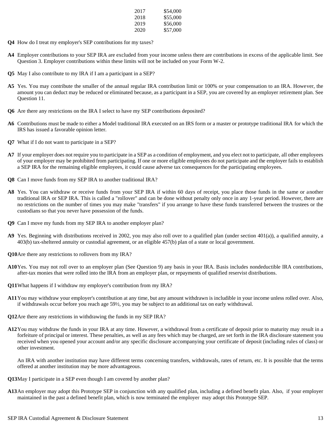| 2017 | \$54,000 |
|------|----------|
| 2018 | \$55,000 |
| 2019 | \$56,000 |
| 2020 | \$57,000 |

- **Q4** How do I treat my employer's SEP contributions for my taxes?
- **A4** Employer contributions to your SEP IRA are excluded from your income unless there are contributions in excess of the applicable limit. See Question 3. Employer contributions within these limits will not be included on your Form W-2.
- **Q5** May I also contribute to my IRA if I am a participant in a SEP?
- A5 Yes. You may contribute the smaller of the annual regular IRA contribution limit or 100% or your compensation to an IRA. However, the amount you can deduct may be reduced or eliminated because, as a participant in a SEP, you are covered by an employer retirement plan. See Question 11.
- **Q6** Are there any restrictions on the IRA I select to have my SEP contributions deposited?
- **A6** Contributions must be made to either a Model traditional IRA executed on an IRS form or a master or prototype traditional IRA for which the IRS has issued a favorable opinion letter.
- **Q7** What if I do not want to participate in a SEP?
- **A7** If your employer does not require you to participate in a SEP as a condition of employment, and you elect not to participate, all other employees of your employer may be prohibited from participating. If one or more eligible employees do not participate and the employer fails to establish a SEP IRA for the remaining eligible employees, it could cause adverse tax consequences for the participating employees.
- **Q8** Can I move funds from my SEP IRA to another traditional IRA?
- **A8** Yes. You can withdraw or receive funds from your SEP IRA if within 60 days of receipt, you place those funds in the same or another traditional IRA or SEP IRA. This is called a "rollover" and can be done without penalty only once in any 1-year period. However, there are no restrictions on the number of times you may make "transfers" if you arrange to have these funds transferred between the trustees or the custodians so that you never have possession of the funds.
- **Q9** Can I move my funds from my SEP IRA to another employer plan?
- **A9** Yes. Beginning with distributions received in 2002, you may also roll over to a qualified plan (under section 401(a)), a qualified annuity, a 403(b) tax-sheltered annuity or custodial agreement, or an eligible 457(b) plan of a state or local government.
- **Q10**Are there any restrictions to rollovers from my IRA?
- **A10**Yes. You may not roll over to an employer plan (See Question 9) any basis in your IRA. Basis includes nondeductible IRA contributions, after-tax monies that were rolled into the IRA from an employer plan, or repayments of qualified reservist distributions.
- **Q11**What happens if I withdraw my employer's contribution from my IRA?
- **A11**You may withdraw your employer's contribution at any time, but any amount withdrawn is includible in your income unless rolled over. Also, if withdrawals occur before you reach age 59½, you may be subject to an additional tax on early withdrawal.
- **Q12**Are there any restrictions in withdrawing the funds in my SEP IRA?
- **A12**You may withdraw the funds in your IRA at any time. However, a withdrawal from a certificate of deposit prior to maturity may result in a forfeiture of principal or interest. These penalties, as well as any fees which may be charged, are set forth in the IRA disclosure statement you received when you opened your account and/or any specific disclosure accompanying your certificate of deposit (including rules of class) or other investment.

An IRA with another institution may have different terms concerning transfers, withdrawals, rates of return, etc. It is possible that the terms offered at another institution may be more advantageous.

- **Q13**May I participate in a SEP even though I am covered by another plan?
- **A13**An employer may adopt this Prototype SEP in conjunction with any qualified plan, including a defined benefit plan. Also, if your employer maintained in the past a defined benefit plan, which is now terminated the employer may adopt this Prototype SEP.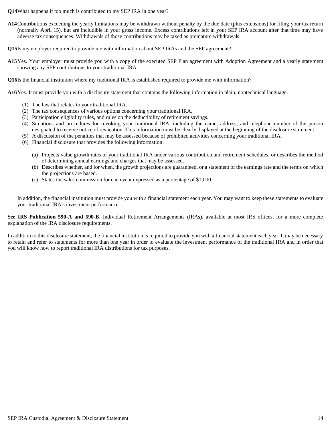**Q14**What happens if too much is contributed to my SEP IRA in one year?

**A14**Contributions exceeding the yearly limitations may be withdrawn without penalty by the due date (plus extensions) for filing your tax return (normally April 15), but are includible in your gross income. Excess contributions left in your SEP IRA account after that time may have adverse tax consequences. Withdrawals of those contributions may be taxed as premature withdrawals.

**Q15**Is my employer required to provide me with information about SEP IRAs and the SEP agreement?

**A15**Yes. Your employer must provide you with a copy of the executed SEP Plan agreement with Adoption Agreement and a yearly statement showing any SEP contributions to your traditional IRA.

**Q16**Is the financial institution where my traditional IRA is established required to provide me with information?

**A16**Yes. It must provide you with a disclosure statement that contains the following information in plain, nontechnical language.

- (1) The law that relates to your traditional IRA.
- (2) The tax consequences of various options concerning your traditional IRA.
- (3) Participation eligibility rules, and rules on the deductibility of retirement savings.
- (4) Situations and procedures for revoking your traditional IRA, including the name, address, and telephone number of the person designated to receive notice of revocation. This information must be clearly displayed at the beginning of the disclosure statement.
- (5) A discussion of the penalties that may be assessed because of prohibited activities concerning your traditional IRA.
- (6) Financial disclosure that provides the following information:
	- (a) Projects value growth rates of your traditional IRA under various contribution and retirement schedules, or describes the method of determining annual earnings and charges that may be assessed.
	- (b) Describes whether, and for when, the growth projections are guaranteed, or a statement of the earnings rate and the terms on which the projections are based.
	- (c) States the sales commission for each year expressed as a percentage of \$1,000.

In addition, the financial institution must provide you with a financial statement each year. You may want to keep these statements to evaluate your traditional IRA's investment performance.

**See IRS Publication 590-A and 590-B**, Individual Retirement Arrangements (IRAs), available at most IRS offices, for a more complete explanation of the IRA disclosure requirements.

In addition to this disclosure statement, the financial institution is required to provide you with a financial statement each year. It may be necessary to retain and refer to statements for more than one year in order to evaluate the investment performance of the traditional IRA and in order that you will know how to report traditional IRA distributions for tax purposes.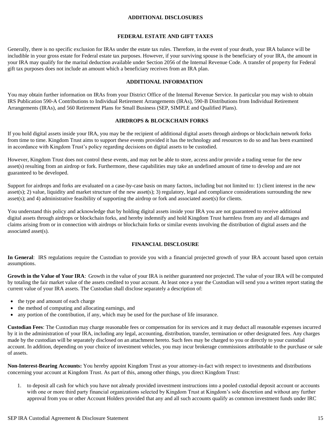#### **ADDITIONAL DISCLOSURES**

#### **FEDERAL ESTATE AND GIFT TAXES**

Generally, there is no specific exclusion for IRAs under the estate tax rules. Therefore, in the event of your death, your IRA balance will be includible in your gross estate for Federal estate tax purposes. However, if your surviving spouse is the beneficiary of your IRA, the amount in your IRA may qualify for the marital deduction available under Section 2056 of the Internal Revenue Code. A transfer of property for Federal gift tax purposes does not include an amount which a beneficiary receives from an IRA plan.

#### **ADDITIONAL INFORMATION**

You may obtain further information on IRAs from your District Office of the Internal Revenue Service. In particular you may wish to obtain IRS Publication 590-A Contributions to Individual Retirement Arrangements (IRAs), 590-B Distributions from Individual Retirement Arrangements (IRAs), and 560 Retirement Plans for Small Business (SEP, SIMPLE and Qualified Plans).

#### **AIRDROPS & BLOCKCHAIN FORKS**

If you hold digital assets inside your IRA, you may be the recipient of additional digital assets through airdrops or blockchain network forks from time to time. Kingdom Trust aims to support these events provided it has the technology and resources to do so and has been examined in accordance with Kingdom Trust's policy regarding decisions on digital assets to be custodied.

However, Kingdom Trust does not control these events, and may not be able to store, access and/or provide a trading venue for the new asset(s) resulting from an airdrop or fork. Furthermore, these capabilities may take an undefined amount of time to develop and are not guaranteed to be developed.

Support for airdrops and forks are evaluated on a case-by-case basis on many factors, including but not limited to: 1) client interest in the new asset(s); 2) value, liquidity and market structure of the new asset(s); 3) regulatory, legal and compliance considerations surrounding the new asset(s); and 4) administrative feasibility of supporting the airdrop or fork and associated asset(s) for clients.

You understand this policy and acknowledge that by holding digital assets inside your IRA you are not guaranteed to receive additional digital assets through airdrops or blockchain forks, and hereby indemnify and hold Kingdom Trust harmless from any and all damages and claims arising from or in connection with airdrops or blockchain forks or similar events involving the distribution of digital assets and the associated asset(s).

#### **FINANCIAL DISCLOSURE**

In General: IRS regulations require the Custodian to provide you with a financial projected growth of your IRA account based upon certain assumptions.

**Growth in the Value of Your IRA**: Growth in the value of your IRA is neither guaranteed nor projected. The value of your IRA will be computed by totaling the fair market value of the assets credited to your account. At least once a year the Custodian will send you a written report stating the current value of your IRA assets. The Custodian shall disclose separately a description of:

- the type and amount of each charge
- the method of computing and allocating earnings, and
- any portion of the contribution, if any, which may be used for the purchase of life insurance.

**Custodian Fees**: The Custodian may charge reasonable fees or compensation for its services and it may deduct all reasonable expenses incurred by it in the administration of your IRA, including any legal, accounting, distribution, transfer, termination or other designated fees. Any charges made by the custodian will be separately disclosed on an attachment hereto. Such fees may be charged to you or directly to your custodial account. In addition, depending on your choice of investment vehicles, you may incur brokerage commissions attributable to the purchase or sale of assets.

**Non-Interest-Bearing Accounts:** You hereby appoint Kingdom Trust as your attorney-in-fact with respect to investments and distributions concerning your account at Kingdom Trust. As part of this, among other things, you direct Kingdom Trust:

1. to deposit all cash for which you have not already provided investment instructions into a pooled custodial deposit account or accounts with one or more third party financial organizations selected by Kingdom Trust at Kingdom's sole discretion and without any further approval from you or other Account Holders provided that any and all such accounts qualify as common investment funds under IRC